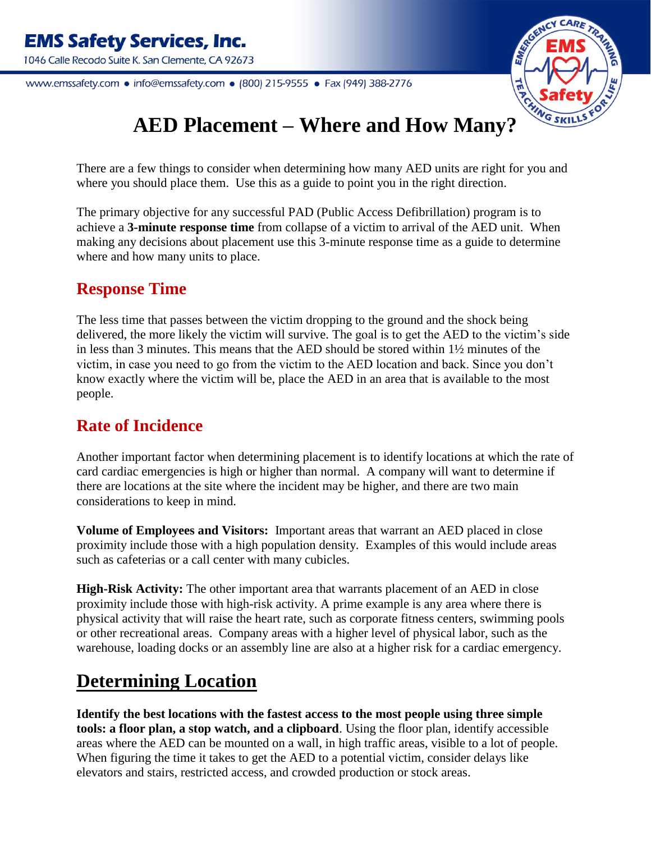www.emssafety.com • info@emssafety.com • (800) 215-9555 • Fax (949) 388-2776



# **AED Placement – Where and How Many?**

There are a few things to consider when determining how many AED units are right for you and where you should place them. Use this as a guide to point you in the right direction.

The primary objective for any successful PAD (Public Access Defibrillation) program is to achieve a **3-minute response time** from collapse of a victim to arrival of the AED unit. When making any decisions about placement use this 3-minute response time as a guide to determine where and how many units to place.

### **Response Time**

The less time that passes between the victim dropping to the ground and the shock being delivered, the more likely the victim will survive. The goal is to get the AED to the victim's side in less than 3 minutes. This means that the AED should be stored within 1½ minutes of the victim, in case you need to go from the victim to the AED location and back. Since you don't know exactly where the victim will be, place the AED in an area that is available to the most people.

### **Rate of Incidence**

Another important factor when determining placement is to identify locations at which the rate of card cardiac emergencies is high or higher than normal. A company will want to determine if there are locations at the site where the incident may be higher, and there are two main considerations to keep in mind.

**Volume of Employees and Visitors:** Important areas that warrant an AED placed in close proximity include those with a high population density. Examples of this would include areas such as cafeterias or a call center with many cubicles.

**High-Risk Activity:** The other important area that warrants placement of an AED in close proximity include those with high-risk activity. A prime example is any area where there is physical activity that will raise the heart rate, such as corporate fitness centers, swimming pools or other recreational areas. Company areas with a higher level of physical labor, such as the warehouse, loading docks or an assembly line are also at a higher risk for a cardiac emergency.

## **Determining Location**

**Identify the best locations with the fastest access to the most people using three simple tools: a floor plan, a stop watch, and a clipboard**. Using the floor plan, identify accessible areas where the AED can be mounted on a wall, in high traffic areas, visible to a lot of people. When figuring the time it takes to get the AED to a potential victim, consider delays like elevators and stairs, restricted access, and crowded production or stock areas.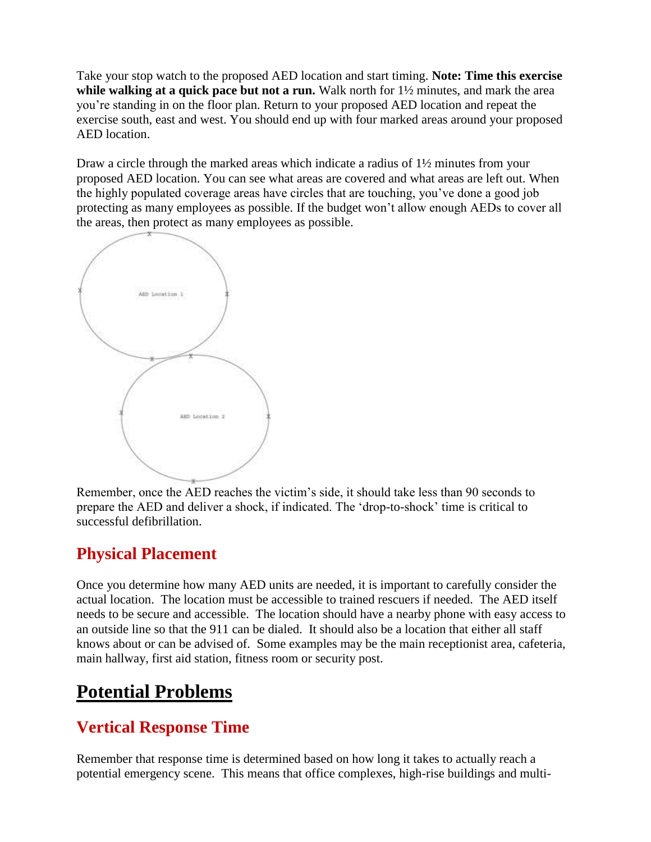Take your stop watch to the proposed AED location and start timing. **Note: Time this exercise while walking at a quick pace but not a run.** Walk north for 1½ minutes, and mark the area you're standing in on the floor plan. Return to your proposed AED location and repeat the exercise south, east and west. You should end up with four marked areas around your proposed AED location.

Draw a circle through the marked areas which indicate a radius of 1½ minutes from your proposed AED location. You can see what areas are covered and what areas are left out. When the highly populated coverage areas have circles that are touching, you've done a good job protecting as many employees as possible. If the budget won't allow enough AEDs to cover all the areas, then protect as many employees as possible.



Remember, once the AED reaches the victim's side, it should take less than 90 seconds to prepare the AED and deliver a shock, if indicated. The 'drop-to-shock' time is critical to successful defibrillation.

## **Physical Placement**

Once you determine how many AED units are needed, it is important to carefully consider the actual location. The location must be accessible to trained rescuers if needed. The AED itself needs to be secure and accessible. The location should have a nearby phone with easy access to an outside line so that the 911 can be dialed. It should also be a location that either all staff knows about or can be advised of. Some examples may be the main receptionist area, cafeteria, main hallway, first aid station, fitness room or security post.

## **Potential Problems**

## **Vertical Response Time**

Remember that response time is determined based on how long it takes to actually reach a potential emergency scene. This means that office complexes, high-rise buildings and multi